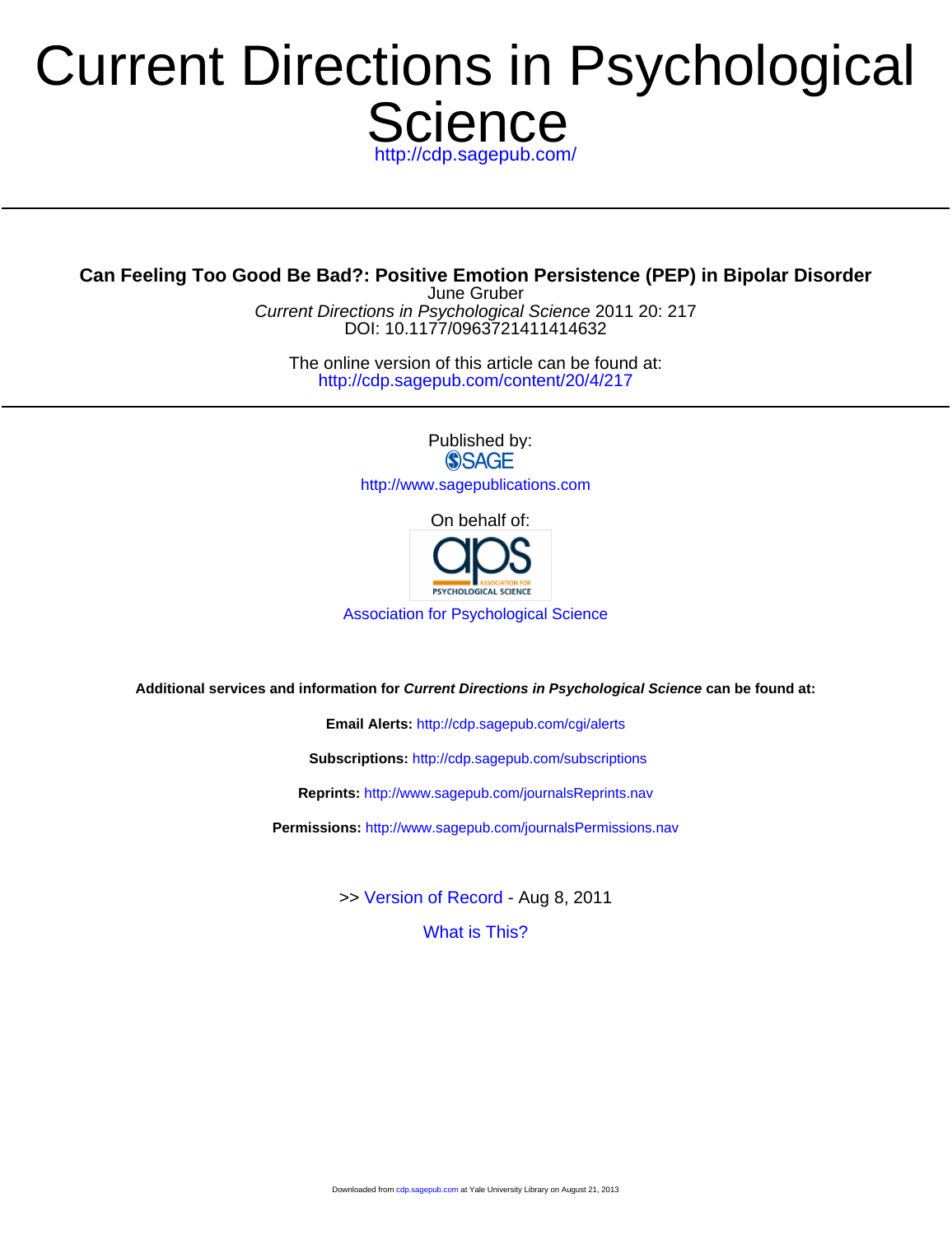## **Science** Current Directions in Psychological

<http://cdp.sagepub.com/>

June Gruber **Can Feeling Too Good Be Bad?: Positive Emotion Persistence (PEP) in Bipolar Disorder**

DOI: 10.1177/0963721411414632 Current Directions in Psychological Science 2011 20: 217

<http://cdp.sagepub.com/content/20/4/217> The online version of this article can be found at:

> Published by:<br>
> SAGE <http://www.sagepublications.com>

> > On behalf of:



[Association for Psychological Science](http://www.psychologicalscience.org/)

**Additional services and information for Current Directions in Psychological Science can be found at:**

**Email Alerts:** <http://cdp.sagepub.com/cgi/alerts>

**Subscriptions:** <http://cdp.sagepub.com/subscriptions>

**Reprints:** <http://www.sagepub.com/journalsReprints.nav>

**Permissions:** <http://www.sagepub.com/journalsPermissions.nav>

>> [Version of Record -](http://cdp.sagepub.com/content/20/4/217.full.pdf) Aug 8, 2011

[What is This?](http://online.sagepub.com/site/sphelp/vorhelp.xhtml)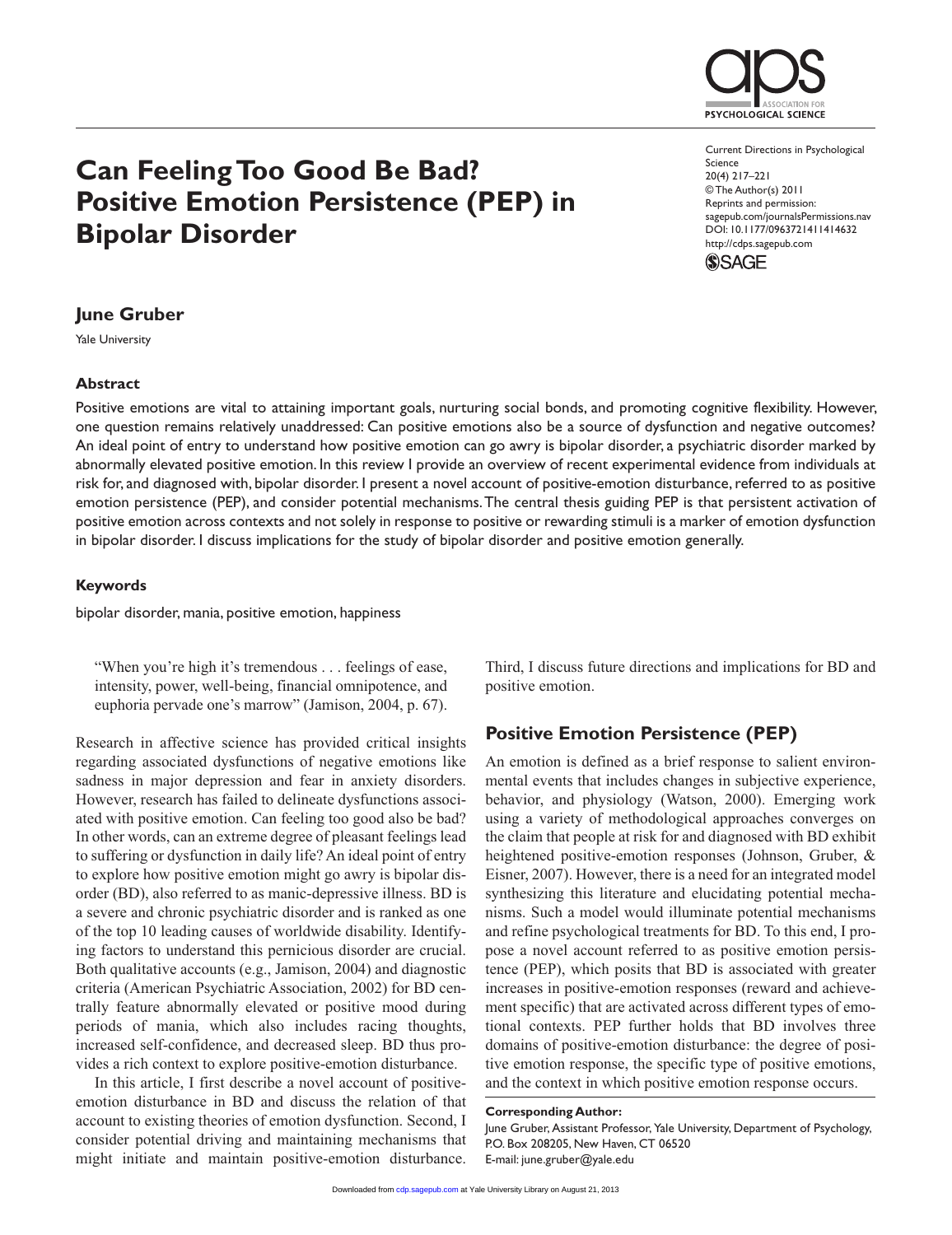# **SYCHOLOGICAL**

### **Can Feeling Too Good Be Bad? Positive Emotion Persistence (PEP) in Bipolar Disorder**

Current Directions in Psychological Science 20(4) 217–221 © The Author(s) 2011 Reprints and permission: sagepub.com/journalsPermissions.nav DOI: 10.1177/0963721411414632 http://cdps.sagepub.com **SSAGE** 

#### **June Gruber**

Yale University

#### **Abstract**

Positive emotions are vital to attaining important goals, nurturing social bonds, and promoting cognitive flexibility. However, one question remains relatively unaddressed: Can positive emotions also be a source of dysfunction and negative outcomes? An ideal point of entry to understand how positive emotion can go awry is bipolar disorder, a psychiatric disorder marked by abnormally elevated positive emotion. In this review I provide an overview of recent experimental evidence from individuals at risk for, and diagnosed with, bipolar disorder. I present a novel account of positive-emotion disturbance, referred to as positive emotion persistence (PEP), and consider potential mechanisms. The central thesis guiding PEP is that persistent activation of positive emotion across contexts and not solely in response to positive or rewarding stimuli is a marker of emotion dysfunction in bipolar disorder. I discuss implications for the study of bipolar disorder and positive emotion generally.

#### **Keywords**

bipolar disorder, mania, positive emotion, happiness

"When you're high it's tremendous . . . feelings of ease, intensity, power, well-being, financial omnipotence, and euphoria pervade one's marrow" (Jamison, 2004, p. 67).

Research in affective science has provided critical insights regarding associated dysfunctions of negative emotions like sadness in major depression and fear in anxiety disorders. However, research has failed to delineate dysfunctions associated with positive emotion. Can feeling too good also be bad? In other words, can an extreme degree of pleasant feelings lead to suffering or dysfunction in daily life? An ideal point of entry to explore how positive emotion might go awry is bipolar disorder (BD), also referred to as manic-depressive illness. BD is a severe and chronic psychiatric disorder and is ranked as one of the top 10 leading causes of worldwide disability. Identifying factors to understand this pernicious disorder are crucial. Both qualitative accounts (e.g., Jamison, 2004) and diagnostic criteria (American Psychiatric Association, 2002) for BD centrally feature abnormally elevated or positive mood during periods of mania, which also includes racing thoughts, increased self-confidence, and decreased sleep. BD thus provides a rich context to explore positive-emotion disturbance.

In this article, I first describe a novel account of positiveemotion disturbance in BD and discuss the relation of that account to existing theories of emotion dysfunction. Second, I consider potential driving and maintaining mechanisms that might initiate and maintain positive-emotion disturbance.

Third, I discuss future directions and implications for BD and positive emotion.

#### **Positive Emotion Persistence (PEP)**

An emotion is defined as a brief response to salient environmental events that includes changes in subjective experience, behavior, and physiology (Watson, 2000). Emerging work using a variety of methodological approaches converges on the claim that people at risk for and diagnosed with BD exhibit heightened positive-emotion responses (Johnson, Gruber, & Eisner, 2007). However, there is a need for an integrated model synthesizing this literature and elucidating potential mechanisms. Such a model would illuminate potential mechanisms and refine psychological treatments for BD. To this end, I propose a novel account referred to as positive emotion persistence (PEP), which posits that BD is associated with greater increases in positive-emotion responses (reward and achievement specific) that are activated across different types of emotional contexts. PEP further holds that BD involves three domains of positive-emotion disturbance: the degree of positive emotion response, the specific type of positive emotions, and the context in which positive emotion response occurs.

#### **Corresponding Author:**

June Gruber, Assistant Professor, Yale University, Department of Psychology, P.O. Box 208205, New Haven, CT 06520 E-mail: june.gruber@yale.edu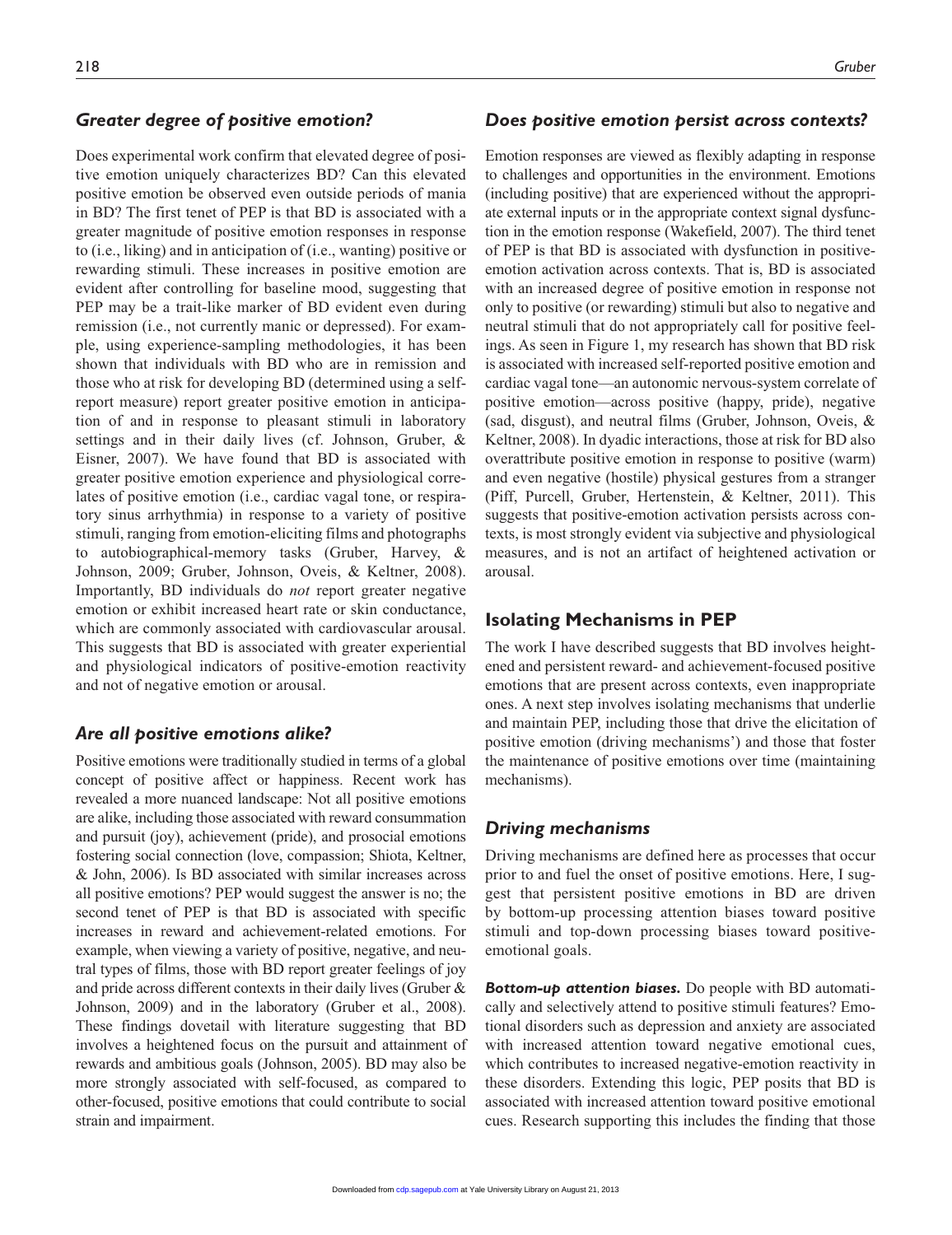#### *Greater degree of positive emotion?*

Does experimental work confirm that elevated degree of positive emotion uniquely characterizes BD? Can this elevated positive emotion be observed even outside periods of mania in BD? The first tenet of PEP is that BD is associated with a greater magnitude of positive emotion responses in response to (i.e., liking) and in anticipation of (i.e., wanting) positive or rewarding stimuli. These increases in positive emotion are evident after controlling for baseline mood, suggesting that PEP may be a trait-like marker of BD evident even during remission (i.e., not currently manic or depressed). For example, using experience-sampling methodologies, it has been shown that individuals with BD who are in remission and those who at risk for developing BD (determined using a selfreport measure) report greater positive emotion in anticipation of and in response to pleasant stimuli in laboratory settings and in their daily lives (cf. Johnson, Gruber, & Eisner, 2007). We have found that BD is associated with greater positive emotion experience and physiological correlates of positive emotion (i.e., cardiac vagal tone, or respiratory sinus arrhythmia) in response to a variety of positive stimuli, ranging from emotion-eliciting films and photographs to autobiographical-memory tasks (Gruber, Harvey, & Johnson, 2009; Gruber, Johnson, Oveis, & Keltner, 2008). Importantly, BD individuals do *not* report greater negative emotion or exhibit increased heart rate or skin conductance, which are commonly associated with cardiovascular arousal. This suggests that BD is associated with greater experiential and physiological indicators of positive-emotion reactivity and not of negative emotion or arousal.

#### *Are all positive emotions alike?*

Positive emotions were traditionally studied in terms of a global concept of positive affect or happiness. Recent work has revealed a more nuanced landscape: Not all positive emotions are alike, including those associated with reward consummation and pursuit (joy), achievement (pride), and prosocial emotions fostering social connection (love, compassion; Shiota, Keltner, & John, 2006). Is BD associated with similar increases across all positive emotions? PEP would suggest the answer is no; the second tenet of PEP is that BD is associated with specific increases in reward and achievement-related emotions. For example, when viewing a variety of positive, negative, and neutral types of films, those with BD report greater feelings of joy and pride across different contexts in their daily lives (Gruber & Johnson, 2009) and in the laboratory (Gruber et al., 2008). These findings dovetail with literature suggesting that BD involves a heightened focus on the pursuit and attainment of rewards and ambitious goals (Johnson, 2005). BD may also be more strongly associated with self-focused, as compared to other-focused, positive emotions that could contribute to social strain and impairment.

#### *Does positive emotion persist across contexts?*

Emotion responses are viewed as flexibly adapting in response to challenges and opportunities in the environment. Emotions (including positive) that are experienced without the appropriate external inputs or in the appropriate context signal dysfunction in the emotion response (Wakefield, 2007). The third tenet of PEP is that BD is associated with dysfunction in positiveemotion activation across contexts. That is, BD is associated with an increased degree of positive emotion in response not only to positive (or rewarding) stimuli but also to negative and neutral stimuli that do not appropriately call for positive feelings. As seen in Figure 1, my research has shown that BD risk is associated with increased self-reported positive emotion and cardiac vagal tone—an autonomic nervous-system correlate of positive emotion—across positive (happy, pride), negative (sad, disgust), and neutral films (Gruber, Johnson, Oveis, & Keltner, 2008). In dyadic interactions, those at risk for BD also overattribute positive emotion in response to positive (warm) and even negative (hostile) physical gestures from a stranger (Piff, Purcell, Gruber, Hertenstein, & Keltner, 2011). This suggests that positive-emotion activation persists across contexts, is most strongly evident via subjective and physiological measures, and is not an artifact of heightened activation or arousal.

#### **Isolating Mechanisms in PEP**

The work I have described suggests that BD involves heightened and persistent reward- and achievement-focused positive emotions that are present across contexts, even inappropriate ones. A next step involves isolating mechanisms that underlie and maintain PEP, including those that drive the elicitation of positive emotion (driving mechanisms') and those that foster the maintenance of positive emotions over time (maintaining mechanisms).

#### *Driving mechanisms*

Driving mechanisms are defined here as processes that occur prior to and fuel the onset of positive emotions. Here, I suggest that persistent positive emotions in BD are driven by bottom-up processing attention biases toward positive stimuli and top-down processing biases toward positiveemotional goals.

*Bottom-up attention biases.* Do people with BD automatically and selectively attend to positive stimuli features? Emotional disorders such as depression and anxiety are associated with increased attention toward negative emotional cues, which contributes to increased negative-emotion reactivity in these disorders. Extending this logic, PEP posits that BD is associated with increased attention toward positive emotional cues. Research supporting this includes the finding that those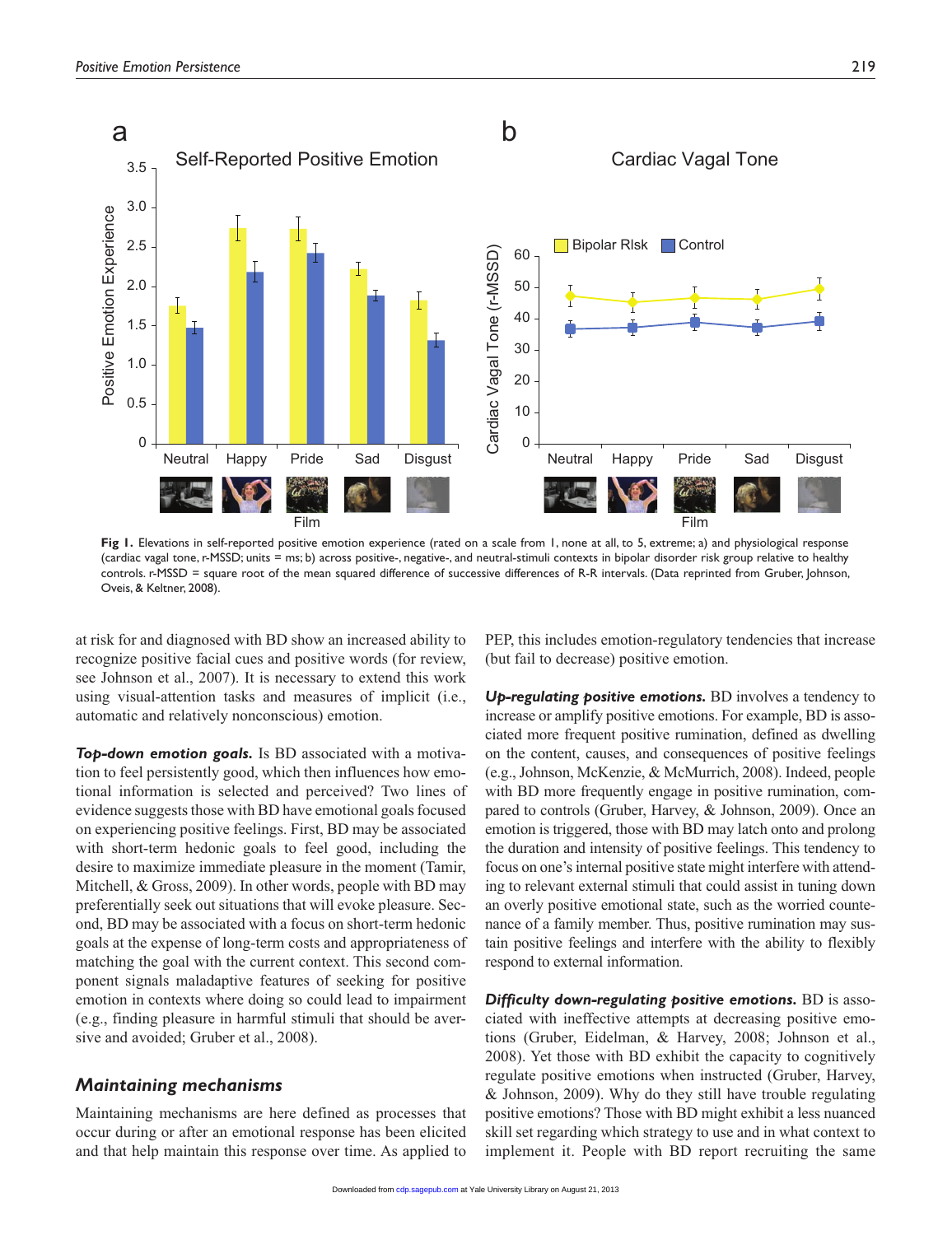

**Fig 1.** Elevations in self-reported positive emotion experience (rated on a scale from 1, none at all, to 5, extreme; a) and physiological response (cardiac vagal tone, r-MSSD; units = ms; b) across positive-, negative-, and neutral-stimuli contexts in bipolar disorder risk group relative to healthy controls. r-MSSD = square root of the mean squared difference of successive differences of R-R intervals. (Data reprinted from Gruber, Johnson, Oveis, & Keltner, 2008).

at risk for and diagnosed with BD show an increased ability to recognize positive facial cues and positive words (for review, see Johnson et al., 2007). It is necessary to extend this work using visual-attention tasks and measures of implicit (i.e., automatic and relatively nonconscious) emotion.

*Top-down emotion goals.* Is BD associated with a motivation to feel persistently good, which then influences how emotional information is selected and perceived? Two lines of evidence suggests those with BD have emotional goals focused on experiencing positive feelings. First, BD may be associated with short-term hedonic goals to feel good, including the desire to maximize immediate pleasure in the moment (Tamir, Mitchell, & Gross, 2009). In other words, people with BD may preferentially seek out situations that will evoke pleasure. Second, BD may be associated with a focus on short-term hedonic goals at the expense of long-term costs and appropriateness of matching the goal with the current context. This second component signals maladaptive features of seeking for positive emotion in contexts where doing so could lead to impairment (e.g., finding pleasure in harmful stimuli that should be aversive and avoided; Gruber et al., 2008).

#### *Maintaining mechanisms*

Maintaining mechanisms are here defined as processes that occur during or after an emotional response has been elicited and that help maintain this response over time. As applied to

PEP, this includes emotion-regulatory tendencies that increase (but fail to decrease) positive emotion.

*Up-regulating positive emotions.* BD involves a tendency to increase or amplify positive emotions. For example, BD is associated more frequent positive rumination, defined as dwelling on the content, causes, and consequences of positive feelings (e.g., Johnson, McKenzie, & McMurrich, 2008). Indeed, people with BD more frequently engage in positive rumination, compared to controls (Gruber, Harvey, & Johnson, 2009). Once an emotion is triggered, those with BD may latch onto and prolong the duration and intensity of positive feelings. This tendency to focus on one's internal positive state might interfere with attending to relevant external stimuli that could assist in tuning down an overly positive emotional state, such as the worried countenance of a family member. Thus, positive rumination may sustain positive feelings and interfere with the ability to flexibly respond to external information.

*Difficulty down-regulating positive emotions.* BD is associated with ineffective attempts at decreasing positive emotions (Gruber, Eidelman, & Harvey, 2008; Johnson et al., 2008). Yet those with BD exhibit the capacity to cognitively regulate positive emotions when instructed (Gruber, Harvey, & Johnson, 2009). Why do they still have trouble regulating positive emotions? Those with BD might exhibit a less nuanced skill set regarding which strategy to use and in what context to implement it. People with BD report recruiting the same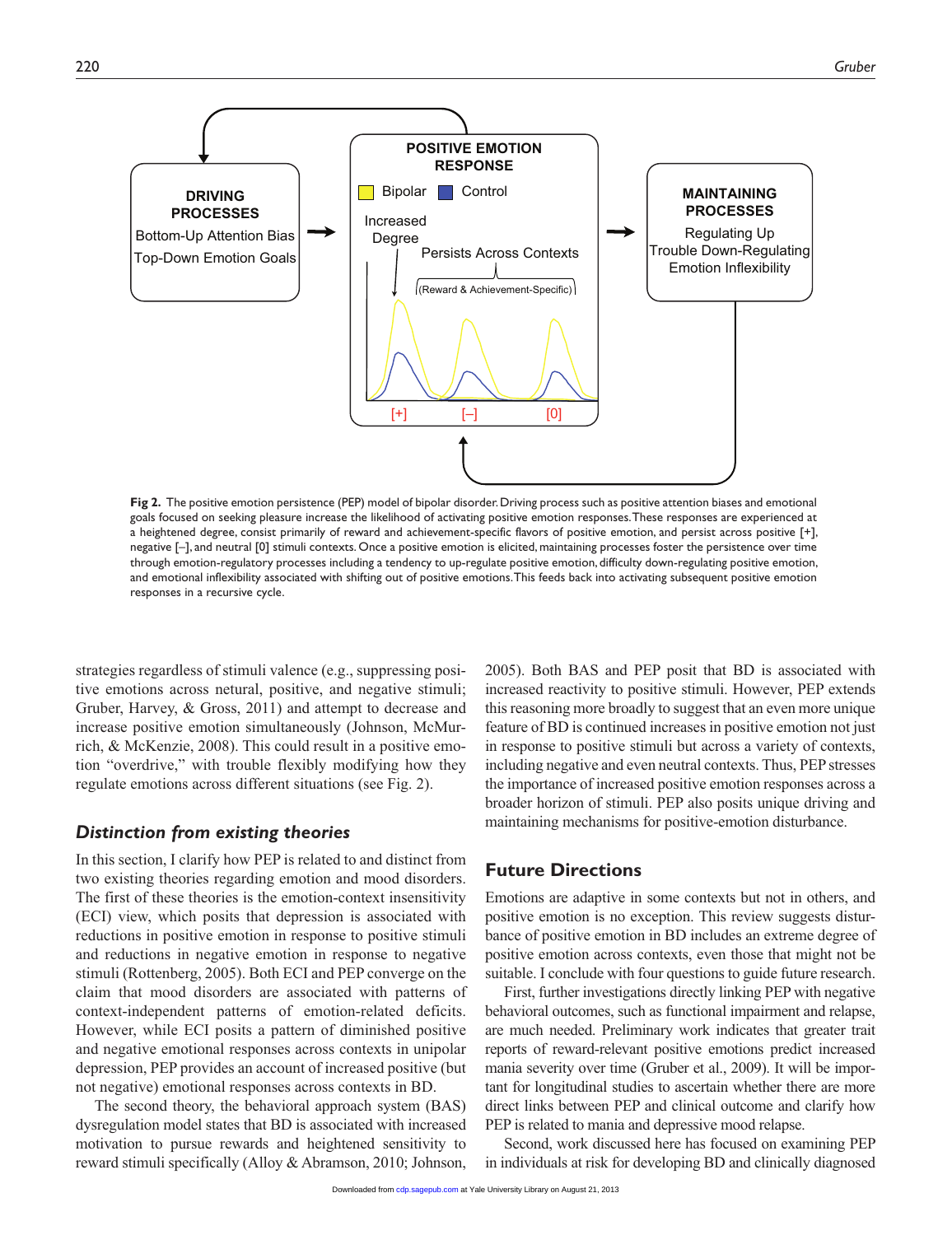

**Fig 2.** The positive emotion persistence (PEP) model of bipolar disorder. Driving process such as positive attention biases and emotional goals focused on seeking pleasure increase the likelihood of activating positive emotion responses. These responses are experienced at a heightened degree, consist primarily of reward and achievement-specific flavors of positive emotion, and persist across positive [+], negative [–], and neutral [0] stimuli contexts. Once a positive emotion is elicited, maintaining processes foster the persistence over time through emotion-regulatory processes including a tendency to up-regulate positive emotion, difficulty down-regulating positive emotion, and emotional inflexibility associated with shifting out of positive emotions. This feeds back into activating subsequent positive emotion responses in a recursive cycle.

strategies regardless of stimuli valence (e.g., suppressing positive emotions across netural, positive, and negative stimuli; Gruber, Harvey, & Gross, 2011) and attempt to decrease and increase positive emotion simultaneously (Johnson, McMurrich, & McKenzie, 2008). This could result in a positive emotion "overdrive," with trouble flexibly modifying how they regulate emotions across different situations (see Fig. 2).

#### *Distinction from existing theories*

In this section, I clarify how PEP is related to and distinct from two existing theories regarding emotion and mood disorders. The first of these theories is the emotion-context insensitivity (ECI) view, which posits that depression is associated with reductions in positive emotion in response to positive stimuli and reductions in negative emotion in response to negative stimuli (Rottenberg, 2005). Both ECI and PEP converge on the claim that mood disorders are associated with patterns of context-independent patterns of emotion-related deficits. However, while ECI posits a pattern of diminished positive and negative emotional responses across contexts in unipolar depression, PEP provides an account of increased positive (but not negative) emotional responses across contexts in BD.

The second theory, the behavioral approach system (BAS) dysregulation model states that BD is associated with increased motivation to pursue rewards and heightened sensitivity to reward stimuli specifically (Alloy & Abramson, 2010; Johnson,

2005). Both BAS and PEP posit that BD is associated with increased reactivity to positive stimuli. However, PEP extends this reasoning more broadly to suggest that an even more unique feature of BD is continued increases in positive emotion not just in response to positive stimuli but across a variety of contexts, including negative and even neutral contexts. Thus, PEP stresses the importance of increased positive emotion responses across a broader horizon of stimuli. PEP also posits unique driving and maintaining mechanisms for positive-emotion disturbance.

#### **Future Directions**

Emotions are adaptive in some contexts but not in others, and positive emotion is no exception. This review suggests disturbance of positive emotion in BD includes an extreme degree of positive emotion across contexts, even those that might not be suitable. I conclude with four questions to guide future research.

First, further investigations directly linking PEP with negative behavioral outcomes, such as functional impairment and relapse, are much needed. Preliminary work indicates that greater trait reports of reward-relevant positive emotions predict increased mania severity over time (Gruber et al., 2009). It will be important for longitudinal studies to ascertain whether there are more direct links between PEP and clinical outcome and clarify how PEP is related to mania and depressive mood relapse.

Second, work discussed here has focused on examining PEP in individuals at risk for developing BD and clinically diagnosed